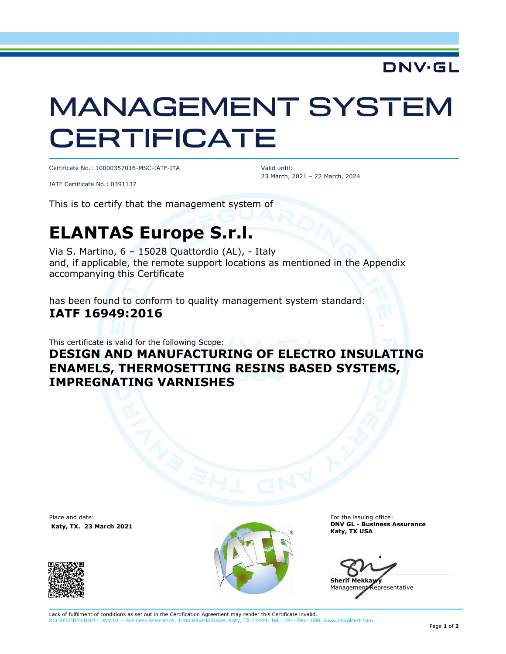### **DNV·GL**

# MANAGEMENT SYSTEM **CERTIFICATE**

Certificate No.: 10000357016-MSC-IATF-ITA

 Valid until: 23 March, 2021 – 22 March, 2024

IATF Certificate No.: 0391137

This is to certify that the management system of

## **ELANTAS Europe S.r.l.**

Via S. Martino, 6 – 15028 Quattordio (AL), - Italy and, if applicable, the remote support locations as mentioned in the Appendix accompanying this Certificate

has been found to conform to quality management system standard: **IATF 16949:2016** 

This certificate is valid for the following Scope:

#### **DESIGN AND MANUFACTURING OF ELECTRO INSULATING ENAMELS, THERMOSETTING RESINS BASED SYSTEMS, IMPREGNATING VARNISHES**

Place and date:  **Katy, TX. 23 March 2021**





For the issuing office: **DNV GL - Business Assurance Katy, TX USA** 

 $\Box$ 

**Sherif Mekka** Management Representative